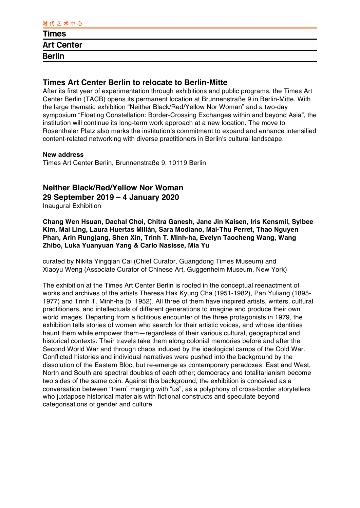| ----------        |  |  |
|-------------------|--|--|
| <b>Times</b>      |  |  |
| <b>Art Center</b> |  |  |
| <b>Berlin</b>     |  |  |
|                   |  |  |

### **Times Art Center Berlin to relocate to Berlin-Mitte**

After its first year of experimentation through exhibitions and public programs, the Times Art Center Berlin (TACB) opens its permanent location at Brunnenstraße 9 in Berlin-Mitte. With the large thematic exhibition "Neither Black/Red/Yellow Nor Woman" and a two-day symposium "Floating Constellation: Border-Crossing Exchanges within and beyond Asia", the institution will continue its long-term work approach at a new location. The move to Rosenthaler Platz also marks the institution's commitment to expand and enhance intensified content-related networking with diverse practitioners in Berlin's cultural landscape.

### **New address**

Times Art Center Berlin, Brunnenstraße 9, 10119 Berlin

# **Neither Black/Red/Yellow Nor Woman**

**29 September 2019 – 4 January 2020** 

Inaugural Exhibition

**Chang Wen Hsuan, Dachal Choi, Chitra Ganesh, Jane Jin Kaisen, Iris Kensmil, Sylbee Kim, Mai Ling, Laura Huertas Millán, Sara Modiano, Mai-Thu Perret, Thao Nguyen Phan, Arin Rungjang, Shen Xin, Trinh T. Minh-ha, Evelyn Taocheng Wang, Wang Zhibo, Luka Yuanyuan Yang & Carlo Nasisse, Mia Yu**

curated by Nikita Yingqian Cai (Chief Curator, Guangdong Times Museum) and Xiaoyu Weng (Associate Curator of Chinese Art, Guggenheim Museum, New York)

The exhibition at the Times Art Center Berlin is rooted in the conceptual reenactment of works and archives of the artists Theresa Hak Kyung Cha (1951-1982), Pan Yuliang (1895- 1977) and Trinh T. Minh-ha (b. 1952). All three of them have inspired artists, writers, cultural practitioners, and intellectuals of different generations to imagine and produce their own world images. Departing from a fictitious encounter of the three protagonists in 1979, the exhibition tells stories of women who search for their artistic voices, and whose identities haunt them while empower them—regardless of their various cultural, geographical and historical contexts. Their travels take them along colonial memories before and after the Second World War and through chaos induced by the ideological camps of the Cold War. Conflicted histories and individual narratives were pushed into the background by the dissolution of the Eastern Bloc, but re-emerge as contemporary paradoxes: East and West, North and South are spectral doubles of each other; democracy and totalitarianism become two sides of the same coin. Against this background, the exhibition is conceived as a conversation between "them" merging with "us", as a polyphony of cross-border storytellers who juxtapose historical materials with fictional constructs and speculate beyond categorisations of gender and culture.